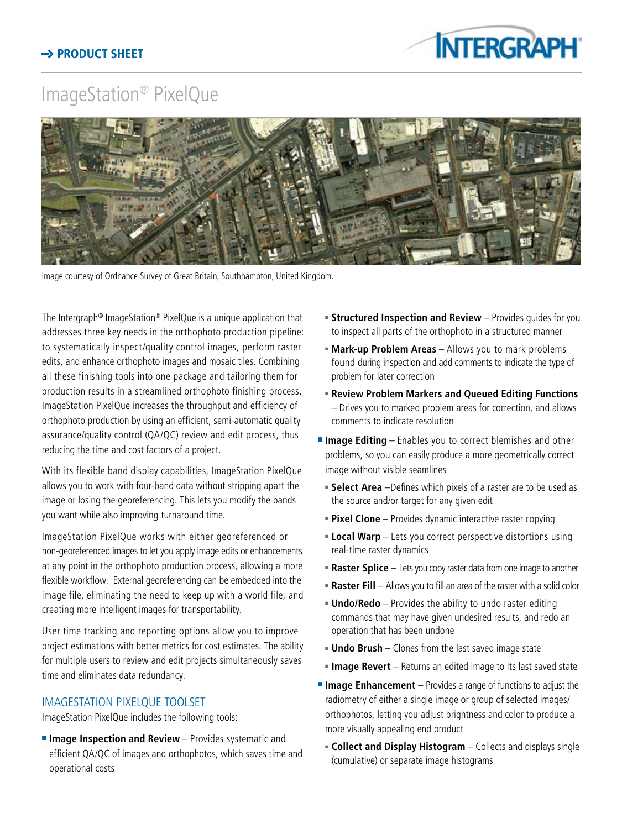## ImageStation® PixelQue



Image courtesy of Ordnance Survey of Great Britain, Southhampton, United Kingdom.

The Intergraph® ImageStation® PixelQue is a unique application that addresses three key needs in the orthophoto production pipeline: to systematically inspect/quality control images, perform raster edits, and enhance orthophoto images and mosaic tiles. Combining all these finishing tools into one package and tailoring them for production results in a streamlined orthophoto finishing process. ImageStation PixelQue increases the throughput and efficiency of orthophoto production by using an efficient, semi-automatic quality assurance/quality control (QA/QC) review and edit process, thus reducing the time and cost factors of a project.

With its flexible band display capabilities, ImageStation PixelQue allows you to work with four-band data without stripping apart the image or losing the georeferencing. This lets you modify the bands you want while also improving turnaround time.

ImageStation PixelQue works with either georeferenced or non-georeferenced images to let you apply image edits or enhancements at any point in the orthophoto production process, allowing a more flexible workflow. External georeferencing can be embedded into the image file, eliminating the need to keep up with a world file, and creating more intelligent images for transportability.

User time tracking and reporting options allow you to improve project estimations with better metrics for cost estimates. The ability for multiple users to review and edit projects simultaneously saves time and eliminates data redundancy.

## ImageStation PixelQue Toolset

ImageStation PixelQue includes the following tools:

**Image Inspection and Review** - Provides systematic and efficient QA/QC of images and orthophotos, which saves time and operational costs

- **5 Structured Inspection and Review** Provides guides for you to inspect all parts of the orthophoto in a structured manner
- **Mark-up Problem Areas** Allows you to mark problems found during inspection and add comments to indicate the type of problem for later correction
- **Example 1** Review Problem Markers and Queued Editing Functions – Drives you to marked problem areas for correction, and allows comments to indicate resolution
- **Image Editing** Enables you to correct blemishes and other problems, so you can easily produce a more geometrically correct image without visible seamlines
	- **Select Area** –Defines which pixels of a raster are to be used as the source and/or target for any given edit
	- **Pixel Clone** Provides dynamic interactive raster copying
	- **Local Warp** Lets you correct perspective distortions using real-time raster dynamics
	- **Raster Splice** Lets you copy raster data from one image to another
	- **Raster Fill** Allows you to fill an area of the raster with a solid color
	- **Undo/Redo** Provides the ability to undo raster editing commands that may have given undesired results, and redo an operation that has been undone
	- **Undo Brush** Clones from the last saved image state
	- **Image Revert** Returns an edited image to its last saved state
- **Image Enhancement** Provides a range of functions to adjust the radiometry of either a single image or group of selected images/ orthophotos, letting you adjust brightness and color to produce a more visually appealing end product
	- **Collect and Display Histogram** Collects and displays single (cumulative) or separate image histograms